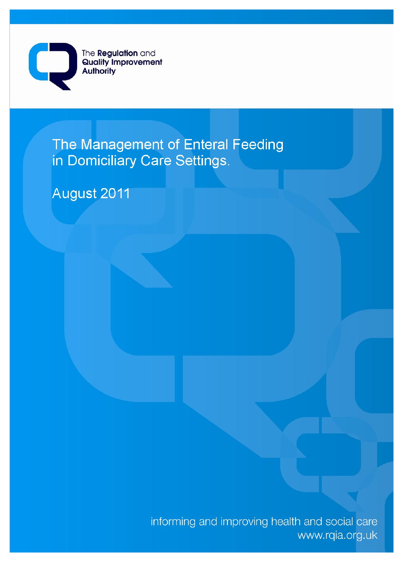

The Management of Enteral Feeding in Domiciliary Care Settings.

August 2011

informing and improving health and social care www.rqia.org.uk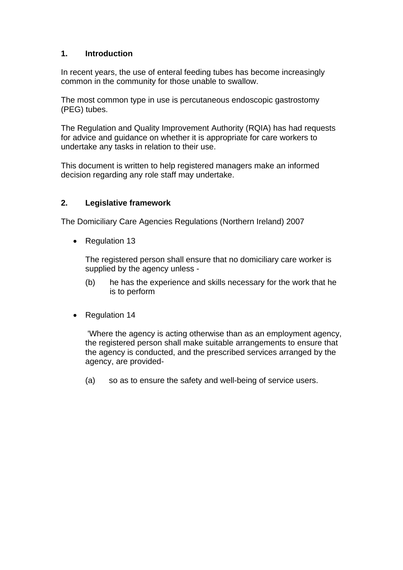# **1. Introduction**

In recent years, the use of enteral feeding tubes has become increasingly common in the community for those unable to swallow.

The most common type in use is percutaneous endoscopic gastrostomy (PEG) tubes.

The Regulation and Quality Improvement Authority (RQIA) has had requests for advice and guidance on whether it is appropriate for care workers to undertake any tasks in relation to their use.

This document is written to help registered managers make an informed decision regarding any role staff may undertake.

# **2. Legislative framework**

The Domiciliary Care Agencies Regulations (Northern Ireland) 2007

Regulation 13

The registered person shall ensure that no domiciliary care worker is supplied by the agency unless -

- (b) he has the experience and skills necessary for the work that he is to perform
- Regulation 14

 'Where the agency is acting otherwise than as an employment agency, the registered person shall make suitable arrangements to ensure that the agency is conducted, and the prescribed services arranged by the agency, are provided-

(a) so as to ensure the safety and well-being of service users.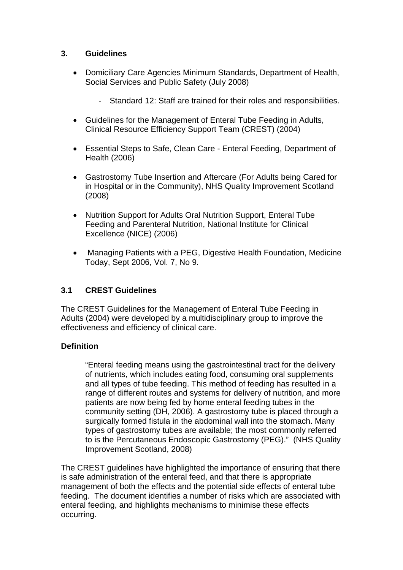#### **3. Guidelines**

- Domiciliary Care Agencies Minimum Standards, Department of Health, Social Services and Public Safety (July 2008)
	- Standard 12: Staff are trained for their roles and responsibilities.
- Guidelines for the Management of Enteral Tube Feeding in Adults, Clinical Resource Efficiency Support Team (CREST) (2004)
- Essential Steps to Safe, Clean Care Enteral Feeding, Department of Health (2006)
- Gastrostomy Tube Insertion and Aftercare (For Adults being Cared for in Hospital or in the Community), NHS Quality Improvement Scotland (2008)
- Nutrition Support for Adults Oral Nutrition Support, Enteral Tube Feeding and Parenteral Nutrition, National Institute for Clinical Excellence (NICE) (2006)
- Managing Patients with a PEG, Digestive Health Foundation, Medicine Today, Sept 2006, Vol. 7, No 9.

# **3.1 CREST Guidelines**

The CREST Guidelines for the Management of Enteral Tube Feeding in Adults (2004) were developed by a multidisciplinary group to improve the effectiveness and efficiency of clinical care.

# **Definition**

"Enteral feeding means using the gastrointestinal tract for the delivery of nutrients, which includes eating food, consuming oral supplements and all types of tube feeding. This method of feeding has resulted in a range of different routes and systems for delivery of nutrition, and more patients are now being fed by home enteral feeding tubes in the community setting (DH, 2006). A gastrostomy tube is placed through a surgically formed fistula in the abdominal wall into the stomach. Many types of gastrostomy tubes are available; the most commonly referred to is the Percutaneous Endoscopic Gastrostomy (PEG)." (NHS Quality Improvement Scotland, 2008)

The CREST guidelines have highlighted the importance of ensuring that there is safe administration of the enteral feed, and that there is appropriate management of both the effects and the potential side effects of enteral tube feeding. The document identifies a number of risks which are associated with enteral feeding, and highlights mechanisms to minimise these effects occurring.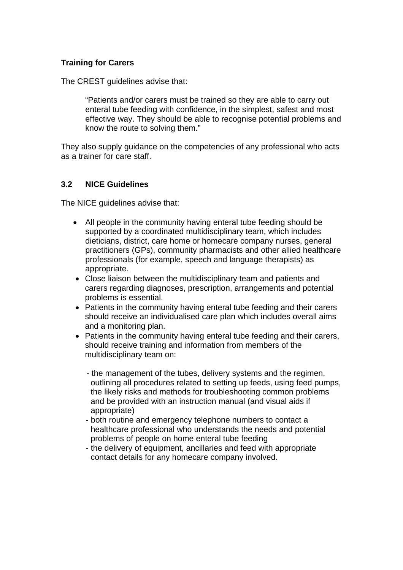#### **Training for Carers**

The CREST guidelines advise that:

"Patients and/or carers must be trained so they are able to carry out enteral tube feeding with confidence, in the simplest, safest and most effective way. They should be able to recognise potential problems and know the route to solving them."

They also supply guidance on the competencies of any professional who acts as a trainer for care staff.

#### **3.2 NICE Guidelines**

The NICE guidelines advise that:

- All people in the community having enteral tube feeding should be supported by a coordinated multidisciplinary team, which includes dieticians, district, care home or homecare company nurses, general practitioners (GPs), community pharmacists and other allied healthcare professionals (for example, speech and language therapists) as appropriate.
- Close liaison between the multidisciplinary team and patients and carers regarding diagnoses, prescription, arrangements and potential problems is essential.
- Patients in the community having enteral tube feeding and their carers should receive an individualised care plan which includes overall aims and a monitoring plan.
- Patients in the community having enteral tube feeding and their carers, should receive training and information from members of the multidisciplinary team on:
	- the management of the tubes, delivery systems and the regimen, outlining all procedures related to setting up feeds, using feed pumps, the likely risks and methods for troubleshooting common problems and be provided with an instruction manual (and visual aids if appropriate)
	- both routine and emergency telephone numbers to contact a healthcare professional who understands the needs and potential problems of people on home enteral tube feeding
	- the delivery of equipment, ancillaries and feed with appropriate contact details for any homecare company involved.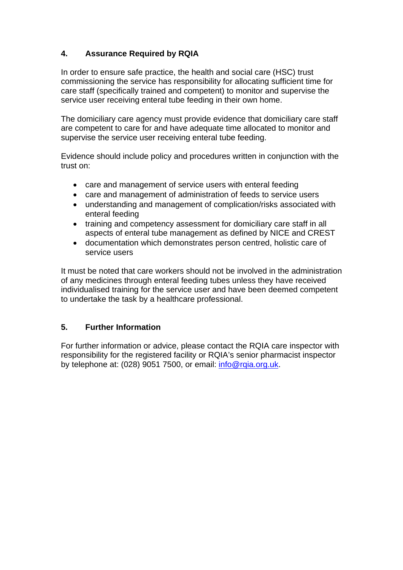# **4. Assurance Required by RQIA**

In order to ensure safe practice, the health and social care (HSC) trust commissioning the service has responsibility for allocating sufficient time for care staff (specifically trained and competent) to monitor and supervise the service user receiving enteral tube feeding in their own home.

The domiciliary care agency must provide evidence that domiciliary care staff are competent to care for and have adequate time allocated to monitor and supervise the service user receiving enteral tube feeding.

Evidence should include policy and procedures written in conjunction with the trust on:

- care and management of service users with enteral feeding
- care and management of administration of feeds to service users
- understanding and management of complication/risks associated with enteral feeding
- training and competency assessment for domiciliary care staff in all aspects of enteral tube management as defined by NICE and CREST
- documentation which demonstrates person centred, holistic care of service users

It must be noted that care workers should not be involved in the administration of any medicines through enteral feeding tubes unless they have received individualised training for the service user and have been deemed competent to undertake the task by a healthcare professional.

# **5. Further Information**

For further information or advice, please contact the RQIA care inspector with responsibility for the registered facility or RQIA's senior pharmacist inspector by telephone at: (028) 9051 7500, or email: info@rgia.org.uk.